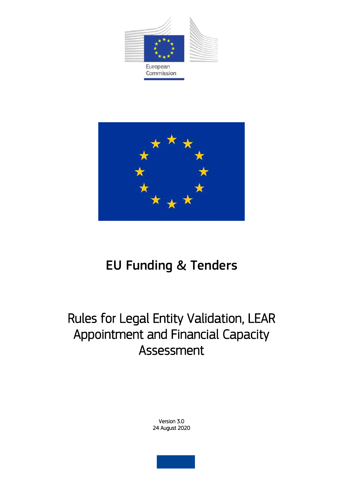



# EU Funding & Tenders

# Rules for Legal Entity Validation, LEAR Appointment and Financial Capacity Assessment

Version 3.0 24 August 2020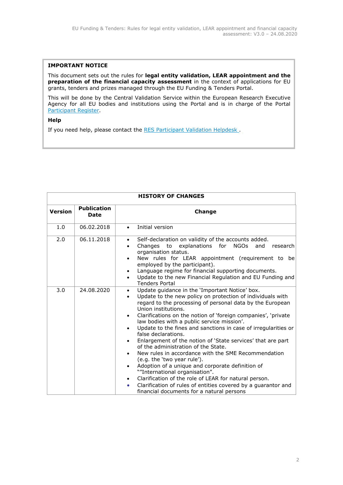#### **IMPORTANT NOTICE**

This document sets out the rules for **legal entity validation, LEAR appointment and the preparation of the financial capacity assessment** in the context of applications for EU grants, tenders and prizes managed through the EU Funding & Tenders Portal.

This will be done by the Central Validation Service within the European Research Executive Agency for all EU bodies and institutions using the Portal and is in charge of the Portal [Participant Register.](https://ec.europa.eu/info/funding-tenders/opportunities/portal/screen/how-to-participate/participant-register)

## **Help**

If you need help, please contact the RES Participant Validation Helpdesk.

| <b>HISTORY OF CHANGES</b> |                                   |                                                                                                                                                                                                                                                                                                                                                                                                                                                                                                                                                                                                                                                                                                                                                                                                                                                                                                                                                 |  |  |  |  |  |  |
|---------------------------|-----------------------------------|-------------------------------------------------------------------------------------------------------------------------------------------------------------------------------------------------------------------------------------------------------------------------------------------------------------------------------------------------------------------------------------------------------------------------------------------------------------------------------------------------------------------------------------------------------------------------------------------------------------------------------------------------------------------------------------------------------------------------------------------------------------------------------------------------------------------------------------------------------------------------------------------------------------------------------------------------|--|--|--|--|--|--|
| <b>Version</b>            | <b>Publication</b><br><b>Date</b> | Change                                                                                                                                                                                                                                                                                                                                                                                                                                                                                                                                                                                                                                                                                                                                                                                                                                                                                                                                          |  |  |  |  |  |  |
| 1.0                       | 06.02.2018                        | Initial version<br>$\bullet$                                                                                                                                                                                                                                                                                                                                                                                                                                                                                                                                                                                                                                                                                                                                                                                                                                                                                                                    |  |  |  |  |  |  |
| 2.0                       | 06.11.2018                        | Self-declaration on validity of the accounts added.<br>$\bullet$<br>Changes to explanations for NGOs<br>and<br>research<br>organisation status.<br>New rules for LEAR appointment (requirement to be<br>employed by the participant).<br>Language regime for financial supporting documents.<br>$\bullet$<br>Update to the new Financial Regulation and EU Funding and<br>$\bullet$<br><b>Tenders Portal</b>                                                                                                                                                                                                                                                                                                                                                                                                                                                                                                                                    |  |  |  |  |  |  |
| 3.0                       | 24.08.2020                        | Update guidance in the 'Important Notice' box.<br>$\bullet$<br>Update to the new policy on protection of individuals with<br>$\bullet$<br>regard to the processing of personal data by the European<br>Union institutions.<br>Clarifications on the notion of 'foreign companies', 'private<br>law bodies with a public service mission'.<br>Update to the fines and sanctions in case of irregularities or<br>false declarations.<br>Enlargement of the notion of 'State services' that are part<br>$\bullet$<br>of the administration of the State.<br>New rules in accordance with the SME Recommendation<br>$\bullet$<br>(e.g. the 'two year rule').<br>Adoption of a unique and corporate definition of<br>$\bullet$<br>""International organisation".<br>Clarification of the role of LEAR for natural person.<br>$\bullet$<br>Clarification of rules of entities covered by a quarantor and<br>financial documents for a natural persons |  |  |  |  |  |  |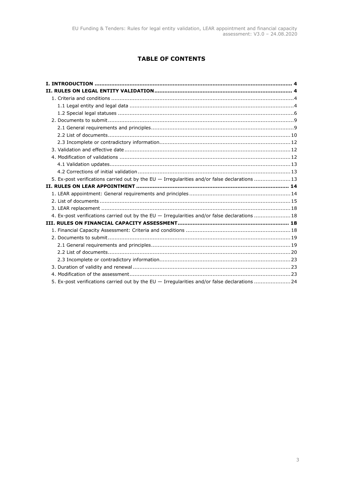# **TABLE OF CONTENTS**

| 5. Ex-post verifications carried out by the EU - Irregularities and/or false declarations 13  |  |
|-----------------------------------------------------------------------------------------------|--|
|                                                                                               |  |
|                                                                                               |  |
|                                                                                               |  |
|                                                                                               |  |
|                                                                                               |  |
| 4. Ex-post verifications carried out by the EU - Irregularities and/or false declarations  18 |  |
|                                                                                               |  |
|                                                                                               |  |
|                                                                                               |  |
|                                                                                               |  |
|                                                                                               |  |
|                                                                                               |  |
|                                                                                               |  |
|                                                                                               |  |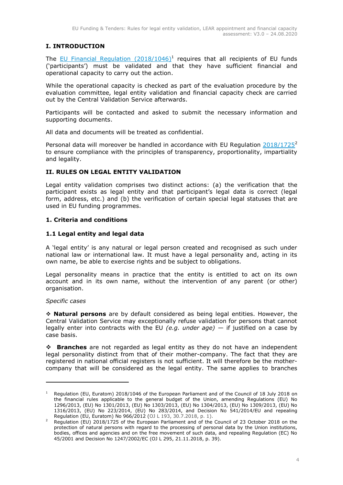# <span id="page-3-0"></span>**I. INTRODUCTION**

The  $EU$  Financial Regulation  $(2018/1046)^1$  requires that all recipients of EU funds ('participants') must be validated and that they have sufficient financial and operational capacity to carry out the action.

While the operational capacity is checked as part of the evaluation procedure by the evaluation committee, legal entity validation and financial capacity check are carried out by the Central Validation Service afterwards.

Participants will be contacted and asked to submit the necessary information and supporting documents.

All data and documents will be treated as confidential.

Personal data will moreover be handled in accordance with EU Regulation  $2018/1725^2$ to ensure compliance with the principles of transparency, proportionality, impartiality and legality.

# <span id="page-3-1"></span>**II. RULES ON LEGAL ENTITY VALIDATION**

Legal entity validation comprises two distinct actions: (a) the verification that the participant exists as legal entity and that participant's legal data is correct (legal form, address, etc.) and (b) the verification of certain special legal statuses that are used in EU funding programmes.

# <span id="page-3-2"></span>**1. Criteria and conditions**

# <span id="page-3-3"></span>**1.1 Legal entity and legal data**

A 'legal entity' is any natural or legal person created and recognised as such under national law or international law. It must have a legal personality and, acting in its own name, be able to exercise rights and be subject to obligations.

Legal personality means in practice that the entity is entitled to act on its own account and in its own name, without the intervention of any parent (or other) organisation.

# *Specific cases*

-

 **Natural persons** are by default considered as being legal entities. However, the Central Validation Service may exceptionally refuse validation for persons that cannot legally enter into contracts with the EU *(e.g. under age)* — if justified on a case by case basis.

 **Branches** are not regarded as legal entity as they do not have an independent legal personality distinct from that of their mother-company. The fact that they are registered in national official registers is not sufficient. It will therefore be the mothercompany that will be considered as the legal entity. The same applies to branches

<sup>&</sup>lt;sup>1</sup> Regulation (EU, Euratom) 2018/1046 of the European Parliament and of the Council of 18 July 2018 on the financial rules applicable to the general budget of the Union, amending Regulations (EU) No 1296/2013, (EU) No 1301/2013, (EU) No 1303/2013, (EU) No 1304/2013, (EU) No 1309/2013, (EU) No 1316/2013, (EU) No 223/2014, (EU) No 283/2014, and Decision No 541/2014/EU and repealing Regulation (EU, Euratom) No 966/2012 (OJ L 193, 30.7.2018, p. 1).

<sup>2</sup> Regulation (EU) 2018/1725 of the European Parliament and of the Council of 23 October 2018 on the protection of natural persons with regard to the processing of personal data by the Union institutions, bodies, offices and agencies and on the free movement of such data, and repealing Regulation (EC) No 45/2001 and Decision No 1247/2002/EC (OJ L 295, 21.11.2018, p. 39)*.*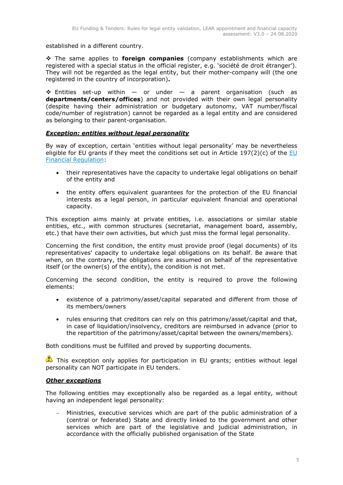established in a different country.

 The same applies to **foreign companies** (company establishments which are registered with a special status in the official register, e.g. 'société de droit étranger'). They will not be regarded as the legal entity, but their mother-company will (the one registered in the country of incorporation)**.**

 $\div$  Entities set-up within  $-$  or under  $-$  a parent organisation (such as **departments/centers/offices**) and not provided with their own legal personality (despite having their administration or budgetary autonomy, VAT number/fiscal code/number of registration) cannot be regarded as a legal entity and are considered as belonging to their parent-organisation.

# *Exception: entities without legal personality*

By way of exception, certain 'entities without legal personality' may be nevertheless eligible for [EU](https://eur-lex.europa.eu/legal-content/EN/ALL/?uri=CELEX:32018R1046&qid=1535046024012) grants if they meet the conditions set out in Article 197(2)(c) of the  $EU$ [Financial Regulation:](https://eur-lex.europa.eu/legal-content/EN/ALL/?uri=CELEX:32018R1046&qid=1535046024012)

- their representatives have the capacity to undertake legal obligations on behalf of the entity and
- the entity offers equivalent guarantees for the protection of the EU financial interests as a legal person, in particular equivalent financial and operational capacity.

This exception aims mainly at private entities, i.e. associations or similar stable entities, etc., with common structures (secretariat, management board, assembly, etc.) that have their own activities, but which just miss the formal legal personality.

Concerning the first condition, the entity must provide proof (legal documents) of its representatives' capacity to undertake legal obligations on its behalf. Be aware that when, on the contrary, the obligations are assumed on behalf of the representative itself (or the owner(s) of the entity), the condition is not met.

Concerning the second condition, the entity is required to prove the following elements:

- existence of a patrimony/asset/capital separated and different from those of its members/owners
- rules ensuring that creditors can rely on this patrimony/asset/capital and that, in case of liquidation/insolvency, creditors are reimbursed in advance (prior to the repartition of the patrimony/asset/capital between the owners/members).

Both conditions must be fulfilled and proved by supporting documents.

This exception only applies for participation in EU grants; entities without legal personality can NOT participate in EU tenders.

# *Other exceptions*

The following entities may exceptionally also be regarded as a legal entity, without having an independent legal personality:

 Ministries, executive services which are part of the public administration of a (central or federated) State and directly linked to the government and other services which are part of the legislative and judicial administration, in accordance with the officially published organisation of the State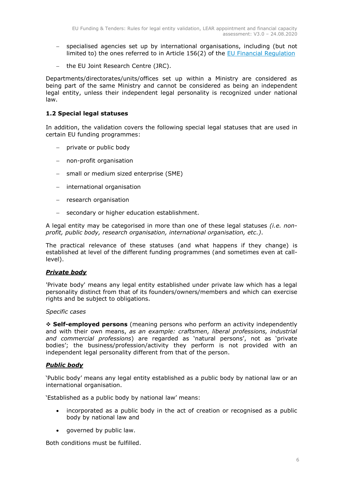- specialised agencies set up by international organisations, including (but not limited to) the ones referred to in Article 156(2) of the [EU Financial Regulation](https://eur-lex.europa.eu/legal-content/EN/ALL/?uri=CELEX:32018R1046&qid=1535046024012)
- the EU Joint Research Centre (JRC).

Departments/directorates/units/offices set up within a Ministry are considered as being part of the same Ministry and cannot be considered as being an independent legal entity, unless their independent legal personality is recognized under national law.

# <span id="page-5-0"></span>**1.2 Special legal statuses**

In addition, the validation covers the following special legal statuses that are used in certain EU funding programmes:

- private or public body
- non-profit organisation
- small or medium sized enterprise (SME)
- international organisation
- research organisation
- secondary or higher education establishment.

A legal entity may be categorised in more than one of these legal statuses *(i.e. nonprofit, public body, research organisation, international organisation, etc.)*.

The practical relevance of these statuses (and what happens if they change) is established at level of the different funding programmes (and sometimes even at calllevel).

## *Private body*

'Private body' means any legal entity established under private law which has a legal personality distinct from that of its founders/owners/members and which can exercise rights and be subject to obligations.

## *Specific cases*

 **Self-employed persons** (meaning persons who perform an activity independently and with their own means, *as an example: craftsmen, liberal professions, industrial and commercial professions*) are regarded as 'natural persons', not as 'private bodies'; the business/profession/activity they perform is not provided with an independent legal personality different from that of the person.

## *Public body*

'Public body' means any legal entity established as a public body by national law or an international organisation.

'Established as a public body by national law' means:

- incorporated as a public body in the act of creation or recognised as a public body by national law and
- governed by public law.

Both conditions must be fulfilled.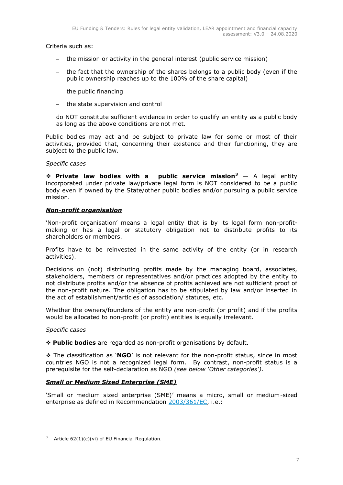Criteria such as:

- the mission or activity in the general interest (public service mission)
- the fact that the ownership of the shares belongs to a public body (even if the public ownership reaches up to the 100% of the share capital)
- $-$  the public financing
- the state supervision and control

do NOT constitute sufficient evidence in order to qualify an entity as a public body as long as the above conditions are not met.

Public bodies may act and be subject to private law for some or most of their activities, provided that, concerning their existence and their functioning, they are subject to the public law.

## *Specific cases*

 **Private law bodies with a public service mission<sup>3</sup>** — A legal entity incorporated under private law/private legal form is NOT considered to be a public body even if owned by the State/other public bodies and/or pursuing a public service mission.

## *Non-profit organisation*

'Non-profit organisation' means a legal entity that is by its legal form non-profitmaking or has a legal or statutory obligation not to distribute profits to its shareholders or members.

Profits have to be reinvested in the same activity of the entity (or in research activities).

Decisions on (not) distributing profits made by the managing board, associates, stakeholders, members or representatives and/or practices adopted by the entity to not distribute profits and/or the absence of profits achieved are not sufficient proof of the non-profit nature. The obligation has to be stipulated by law and/or inserted in the act of establishment/articles of association/ statutes, etc.

Whether the owners/founders of the entity are non-profit (or profit) and if the profits would be allocated to non-profit (or profit) entities is equally irrelevant.

## *Specific cases*

-

**Public bodies** are regarded as non-profit organisations by default.

 The classification as '**NGO**' is not relevant for the non-profit status, since in most countries NGO is not a recognized legal form. By contrast, non-profit status is a prerequisite for the self-declaration as NGO *(see below 'Other categories')*.

# *Small or Medium Sized Enterprise (SME)*

'Small or medium sized enterprise (SME)' means a micro, small or medium-sized enterprise as defined in Recommendation [2003/361/EC,](http://eur-lex.europa.eu/legal-content/EN/ALL/?uri=CELEX:32003H0361&qid=1511301798396) i.e.:

<sup>&</sup>lt;sup>3</sup> Article  $62(1)(c)(vi)$  of EU Financial Regulation.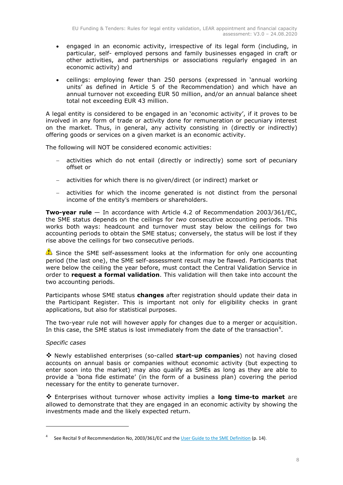- engaged in an economic activity, irrespective of its legal form (including, in particular, self- employed persons and family businesses engaged in craft or other activities, and partnerships or associations regularly engaged in an economic activity) and
- ceilings: employing fewer than 250 persons (expressed in 'annual working units' as defined in Article 5 of the Recommendation) and which have an annual turnover not exceeding EUR 50 million, and/or an annual balance sheet total not exceeding EUR 43 million.

A legal entity is considered to be engaged in an 'economic activity', if it proves to be involved in any form of trade or activity done for remuneration or pecuniary interest on the market. Thus, in general, any activity consisting in (directly or indirectly) offering goods or services on a given market is an economic activity.

The following will NOT be considered economic activities:

- activities which do not entail (directly or indirectly) some sort of pecuniary offset or
- activities for which there is no given/direct (or indirect) market or
- activities for which the income generated is not distinct from the personal income of the entity's members or shareholders.

**Two-year rule** — In accordance with Article 4.2 of Recommendation 2003/361/EC, the SME status depends on the ceilings for *two* consecutive accounting periods. This works both ways: headcount and turnover must stay below the ceilings for two accounting periods to obtain the SME status; conversely, the status will be lost if they rise above the ceilings for two consecutive periods.

Since the SME self-assessment looks at the information for only one accounting period (the last one), the SME self-assessment result may be flawed. Participants that were below the ceiling the year before, must contact the Central Validation Service in order to **request a formal validation**. This validation will then take into account the two accounting periods.

Participants whose SME status **changes** after registration should update their data in the Participant Register. This is important not only for eligibility checks in grant applications, but also for statistical purposes.

The two-year rule not will however apply for changes due to a merger or acquisition. In this case, the SME status is lost immediately from the date of the transaction<sup>4</sup>.

# *Specific cases*

-

 Newly established enterprises (so-called **start-up companies**) not having closed accounts on annual basis or companies without economic activity (but expecting to enter soon into the market) may also qualify as SMEs as long as they are able to provide a 'bona fide estimate' (in the form of a business plan) covering the period necessary for the entity to generate turnover.

 Enterprises without turnover whose activity implies a **long time-to market** are allowed to demonstrate that they are engaged in an economic activity by showing the investments made and the likely expected return.

<sup>4</sup> See Recital 9 of Recommendation No, 2003/361/EC and the [User Guide to the SME Definition](https://ec.europa.eu/growth/content/revised-user-guide-sme-definition-0_en) (p. 14).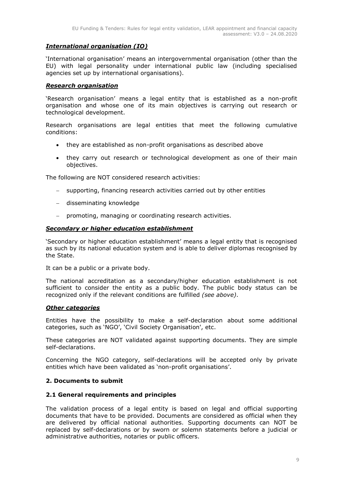# *International organisation (IO)*

'International organisation' means an intergovernmental organisation (other than the EU) with legal personality under international public law (including specialised agencies set up by international organisations).

## *Research organisation*

'Research organisation' means a legal entity that is established as a non-profit organisation and whose one of its main objectives is carrying out research or technological development.

Research organisations are legal entities that meet the following cumulative conditions:

- they are established as non-profit organisations as described above
- they carry out research or technological development as one of their main objectives.

The following are NOT considered research activities:

- supporting, financing research activities carried out by other entities
- disseminating knowledge
- promoting, managing or coordinating research activities.

# *Secondary or higher education establishment*

'Secondary or higher education establishment' means a legal entity that is recognised as such by its national education system and is able to deliver diplomas recognised by the State.

It can be a public or a private body.

The national accreditation as a secondary/higher education establishment is not sufficient to consider the entity as a public body. The public body status can be recognized only if the relevant conditions are fulfilled *(see above)*.

## *Other categories*

Entities have the possibility to make a self-declaration about some additional categories, such as 'NGO', 'Civil Society Organisation', etc.

These categories are NOT validated against supporting documents. They are simple self-declarations.

Concerning the NGO category, self-declarations will be accepted only by private entities which have been validated as 'non-profit organisations'.

## <span id="page-8-0"></span>**2. Documents to submit**

# <span id="page-8-1"></span>**2.1 General requirements and principles**

The validation process of a legal entity is based on legal and official supporting documents that have to be provided. Documents are considered as official when they are delivered by official national authorities. Supporting documents can NOT be replaced by self-declarations or by sworn or solemn statements before a judicial or administrative authorities, notaries or public officers.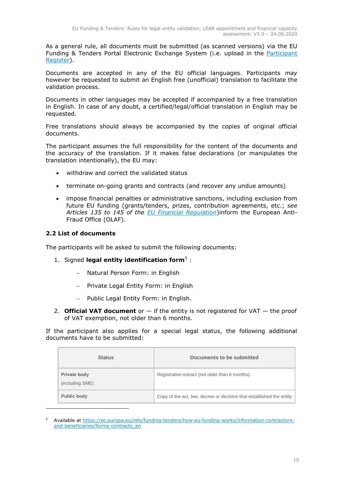As a general rule, all documents must be submitted (as scanned versions) via the EU Funding & Tenders Portal Electronic Exchange System (i.e. upload in the [Participant](https://ec.europa.eu/info/funding-tenders/opportunities/portal/screen/how-to-participate/participant-register) [Register\)](https://ec.europa.eu/info/funding-tenders/opportunities/portal/screen/how-to-participate/participant-register).

Documents are accepted in any of the EU official languages. Participants *may* however be requested to submit an English free (unofficial) translation to facilitate the validation process.

Documents in other languages may be accepted if accompanied by a free translation in English. In case of any doubt, a certified/legal/official translation in English may be requested.

Free translations should always be accompanied by the copies of original official documents.

The participant assumes the full responsibility for the content of the documents and the accuracy of the translation. If it makes false declarations (or manipulates the translation intentionally), the EU may:

- withdraw and correct the validated status
- terminate on-going grants and contracts (and recover any undue amounts)
- impose financial penalties or administrative sanctions, including exclusion from future EU funding (grants/tenders, prizes, contribution agreements, etc.; *see Articles 135 to 145 of the [EU Financial Regulation](https://eur-lex.europa.eu/legal-content/EN/ALL/?uri=CELEX:32018R1046&qid=1535046024012)*)inform the European Anti-Fraud Office (OLAF).

# <span id="page-9-0"></span>**2.2 List of documents**

-

The participants will be asked to submit the following documents:

- 1. Signed **legal entity identification form**<sup>5</sup>:
	- Natural Person Form: in English
	- Private Legal Entity Form: in English
	- Public Legal Entity Form: in English.
- 2. **Official VAT document** or  $-$  if the entity is not registered for VAT  $-$  the proof of VAT exemption, not older than 6 months.

If the participant also applies for a special legal status, the following additional documents have to be submitted:

| <b>Status</b>                   | Documents to be submitted                                            |
|---------------------------------|----------------------------------------------------------------------|
| Private body<br>(including SME) | Registration extract (not older than 6 months).                      |
| Public body                     | Copy of the act, law, decree or decision that established the entity |

<sup>5</sup> Available at https://ec.europa.eu/info/funding-tenders/how-eu-funding-works/information-contractorsand-beneficiaries/forms-contracts\_en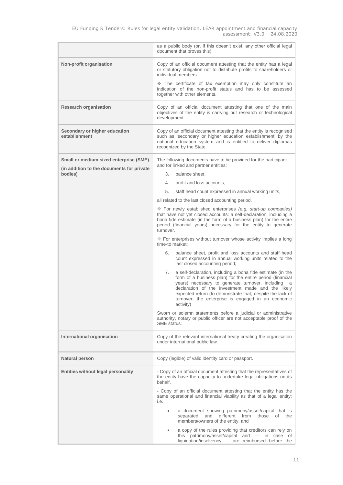|                                                                                     | as a public body (or, if this doesn't exist, any other official legal<br>document that proves this).                                                                                                                                                                                                                                                                        |  |  |  |  |
|-------------------------------------------------------------------------------------|-----------------------------------------------------------------------------------------------------------------------------------------------------------------------------------------------------------------------------------------------------------------------------------------------------------------------------------------------------------------------------|--|--|--|--|
| Non-profit organisation                                                             | Copy of an official document attesting that the entity has a legal<br>or statutory obligation not to distribute profits to shareholders or<br>individual members.                                                                                                                                                                                                           |  |  |  |  |
|                                                                                     | The certificate of tax exemption may only constitute an<br>indication of the non-profit status and has to be assessed<br>together with other elements.                                                                                                                                                                                                                      |  |  |  |  |
| <b>Research organisation</b>                                                        | Copy of an official document attesting that one of the main<br>objectives of the entity is carrying out research or technological<br>development.                                                                                                                                                                                                                           |  |  |  |  |
| Secondary or higher education<br>establishment                                      | Copy of an official document attesting that the entity is recognised<br>such as 'secondary or higher education establishment' by the<br>national education system and is entitled to deliver diplomas<br>recognized by the State.                                                                                                                                           |  |  |  |  |
| Small or medium sized enterprise (SME)<br>(in addition to the documents for private | The following documents have to be provided for the participant<br>and for linked and partner entities:                                                                                                                                                                                                                                                                     |  |  |  |  |
| bodies)                                                                             | 3.<br>balance sheet.                                                                                                                                                                                                                                                                                                                                                        |  |  |  |  |
|                                                                                     | 4.<br>profit and loss accounts,                                                                                                                                                                                                                                                                                                                                             |  |  |  |  |
|                                                                                     | 5.<br>staff head count expressed in annual working units,                                                                                                                                                                                                                                                                                                                   |  |  |  |  |
|                                                                                     | all related to the last closed accounting period.                                                                                                                                                                                                                                                                                                                           |  |  |  |  |
|                                                                                     | ❖ For newly established enterprises (e.g. start-up companies)<br>that have not yet closed accounts: a self-declaration, including a<br>bona fide estimate (in the form of a business plan) for the entire<br>period (financial years) necessary for the entity to generate<br>turnover.                                                                                     |  |  |  |  |
|                                                                                     | ❖ For enterprises without turnover whose activity implies a long<br>time-to market:                                                                                                                                                                                                                                                                                         |  |  |  |  |
|                                                                                     | 6.<br>balance sheet, profit and loss accounts and staff head<br>count expressed in annual working units related to the<br>last closed accounting period;                                                                                                                                                                                                                    |  |  |  |  |
|                                                                                     | a self-declaration, including a bona fide estimate (in the<br>7.<br>form of a business plan) for the entire period (financial<br>years) necessary to generate turnover, including<br>a<br>declaration of the investment made and the likely<br>expected return (to demonstrate that, despite the lack of<br>turnover, the enterprise is engaged in an economic<br>activity) |  |  |  |  |
|                                                                                     | Sworn or solemn statements before a judicial or administrative<br>authority, notary or public officer are not acceptable proof of the<br>SMF status.                                                                                                                                                                                                                        |  |  |  |  |
| International organisation                                                          | Copy of the relevant international treaty creating the organisation<br>under international public law.                                                                                                                                                                                                                                                                      |  |  |  |  |
| Natural person                                                                      | Copy (legible) of valid identity card or passport.                                                                                                                                                                                                                                                                                                                          |  |  |  |  |
| <b>Entities without legal personality</b>                                           | - Copy of an official document attesting that the representatives of<br>the entity have the capacity to undertake legal obligations on its<br>behalf.                                                                                                                                                                                                                       |  |  |  |  |
|                                                                                     | - Copy of an official document attesting that the entity has the<br>same operational and financial viability as that of a legal entity:<br>i.e.                                                                                                                                                                                                                             |  |  |  |  |
|                                                                                     | a document showing patrimony/asset/capital that is<br>different<br>separated<br>and<br>from<br>those<br>of<br>the<br>members/owners of the entity, and                                                                                                                                                                                                                      |  |  |  |  |
|                                                                                     | a copy of the rules providing that creditors can rely on<br>$\bullet$<br>this patrimony/asset/capital and - in case of<br>liquidation/insolvency - are reimbursed before the                                                                                                                                                                                                |  |  |  |  |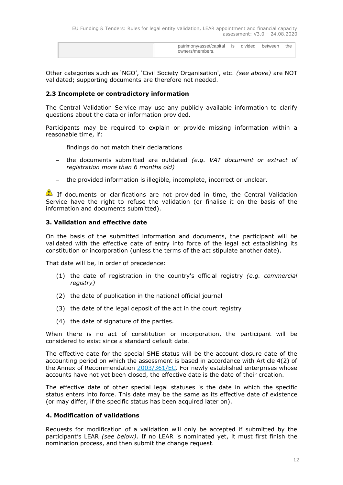| patrimony/asset/capital<br>owners/members. | <b>is</b> | divided | between | the |
|--------------------------------------------|-----------|---------|---------|-----|
|                                            |           |         |         |     |

Other categories such as 'NGO', 'Civil Society Organisation', etc. *(see above)* are NOT validated; supporting documents are therefore not needed.

## <span id="page-11-0"></span>**2.3 Incomplete or contradictory information**

The Central Validation Service may use any publicly available information to clarify questions about the data or information provided.

Participants may be required to explain or provide missing information within a reasonable time, if:

- $-$  findings do not match their declarations
- the documents submitted are outdated *(e.g. VAT document or extract of registration more than 6 months old)*
- the provided information is illegible, incomplete, incorrect or unclear.

If documents or clarifications are not provided in time, the Central Validation Service have the right to refuse the validation (or finalise it on the basis of the information and documents submitted).

# <span id="page-11-1"></span>**3. Validation and effective date**

On the basis of the submitted information and documents, the participant will be validated with the effective date of entry into force of the legal act establishing its constitution or incorporation (unless the terms of the act stipulate another date).

That date will be, in order of precedence:

- (1) the date of registration in the country's official registry *(e.g. commercial registry)*
- (2) the date of publication in the national official journal
- (3) the date of the legal deposit of the act in the court registry
- (4) the date of signature of the parties.

When there is no act of constitution or incorporation, the participant will be considered to exist since a standard default date.

The effective date for the special SME status will be the account closure date of the accounting period on which the assessment is based in accordance with Article 4(2) of the Annex of Recommendation [2003/361/EC.](https://eur-lex.europa.eu/legal-content/EN/ALL/?uri=CELEX:32003H0361&qid=1511301798396) For newly established enterprises whose accounts have not yet been closed, the effective date is the date of their creation.

The effective date of other special legal statuses is the date in which the specific status enters into force. This date may be the same as its effective date of existence (or may differ, if the specific status has been acquired later on).

## <span id="page-11-2"></span>**4. Modification of validations**

Requests for modification of a validation will only be accepted if submitted by the participant's LEAR *(see below)*. If no LEAR is nominated yet, it must first finish the nomination process, and then submit the change request.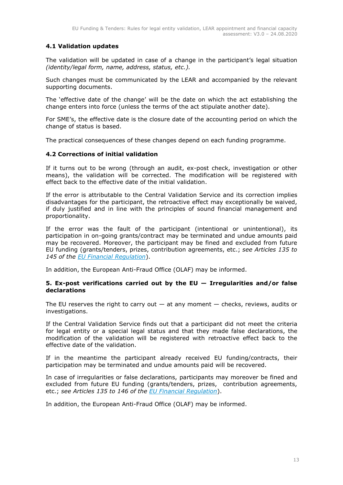# <span id="page-12-0"></span>**4.1 Validation updates**

The validation will be updated in case of a change in the participant's legal situation *(identity/legal form, name, address, status, etc.).*

Such changes must be communicated by the LEAR and accompanied by the relevant supporting documents.

The 'effective date of the change' will be the date on which the act establishing the change enters into force (unless the terms of the act stipulate another date).

For SME's, the effective date is the closure date of the accounting period on which the change of status is based.

The practical consequences of these changes depend on each funding programme.

# <span id="page-12-1"></span>**4.2 Corrections of initial validation**

If it turns out to be wrong (through an audit, ex-post check, investigation or other means), the validation will be corrected. The modification will be registered with effect back to the effective date of the initial validation.

If the error is attributable to the Central Validation Service and its correction implies disadvantages for the participant, the retroactive effect may exceptionally be waived, if duly justified and in line with the principles of sound financial management and proportionality.

If the error was the fault of the participant (intentional or unintentional), its participation in on-going grants/contract may be terminated and undue amounts paid may be recovered. Moreover, the participant may be fined and excluded from future EU funding (grants/tenders, prizes, contribution agreements, etc.; *see Articles 135 to 145 of the [EU Financial Regulation](https://eur-lex.europa.eu/legal-content/EN/ALL/?uri=CELEX:32018R1046&qid=1535046024012)*).

In addition, the European Anti-Fraud Office (OLAF) may be informed.

## <span id="page-12-2"></span>**5. Ex-post verifications carried out by the EU — Irregularities and/or false declarations**

The EU reserves the right to carry out  $-$  at any moment  $-$  checks, reviews, audits or investigations.

If the Central Validation Service finds out that a participant did not meet the criteria for legal entity or a special legal status and that they made false declarations, the modification of the validation will be registered with retroactive effect back to the effective date of the validation.

If in the meantime the participant already received EU funding/contracts, their participation may be terminated and undue amounts paid will be recovered.

In case of irregularities or false declarations, participants may moreover be fined and excluded from future EU funding (grants/tenders, prizes, contribution agreements, etc.; *see Articles 135 to 146 of the [EU Financial Regulation](https://eur-lex.europa.eu/legal-content/EN/ALL/?uri=CELEX:32018R1046&qid=1535046024012)*).

In addition, the European Anti-Fraud Office (OLAF) may be informed.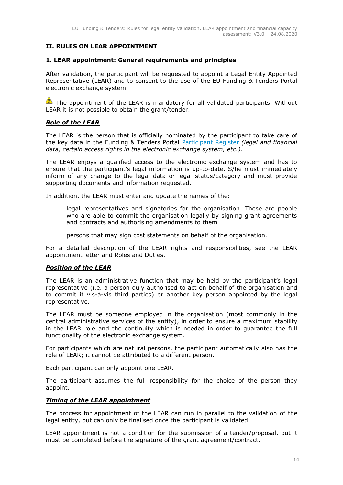# <span id="page-13-0"></span>**II. RULES ON LEAR APPOINTMENT**

# <span id="page-13-1"></span>**1. LEAR appointment: General requirements and principles**

After validation, the participant will be requested to appoint a Legal Entity Appointed Representative (LEAR) and to consent to the use of the EU Funding & Tenders Portal electronic exchange system.

The appointment of the LEAR is mandatory for all validated participants. Without LEAR it is not possible to obtain the grant/tender.

# *Role of the LEAR*

The LEAR is the person that is officially nominated by the participant to take care of the key data in the Funding & Tenders Portal [Participant](https://ec.europa.eu/info/funding-tenders/opportunities/portal/screen/how-to-participate/participant-register) Register *(legal and financial data, certain access rights in the electronic exchange system, etc.)*.

The LEAR enjoys a qualified access to the electronic exchange system and has to ensure that the participant's legal information is up-to-date. S/he must immediately inform of any change to the legal data or legal status/category and must provide supporting documents and information requested.

In addition, the LEAR must enter and update the names of the:

- legal representatives and signatories for the organisation. These are people who are able to commit the organisation legally by signing grant agreements and contracts and authorising amendments to them
- persons that may sign cost statements on behalf of the organisation.

For a detailed description of the LEAR rights and responsibilities, see the [LEAR](http://ec.europa.eu/research/participants/data/ref/h2020/grants_manual/lev/h2020-lear-applet-roltas_en.pdf)  [appointment letter and Roles and Duties.](http://ec.europa.eu/research/participants/data/ref/h2020/grants_manual/lev/h2020-lear-applet-roltas_en.pdf)

## *Position of the LEAR*

The LEAR is an administrative function that may be held by the participant's legal representative (i.e. a person duly authorised to act on behalf of the organisation and to commit it vis-à-vis third parties) or another key person appointed by the legal representative.

The LEAR must be someone employed in the organisation (most commonly in the central administrative services of the entity), in order to ensure a maximum stability in the LEAR role and the continuity which is needed in order to guarantee the full functionality of the electronic exchange system.

For participants which are natural persons, the participant automatically also has the role of LEAR; it cannot be attributed to a different person.

Each participant can only appoint one LEAR.

The participant assumes the full responsibility for the choice of the person they appoint.

## *Timing of the LEAR appointment*

The process for appointment of the LEAR can run in parallel to the validation of the legal entity, but can only be finalised once the participant is validated.

LEAR appointment is not a condition for the submission of a tender/proposal, but it must be completed before the signature of the grant agreement/contract.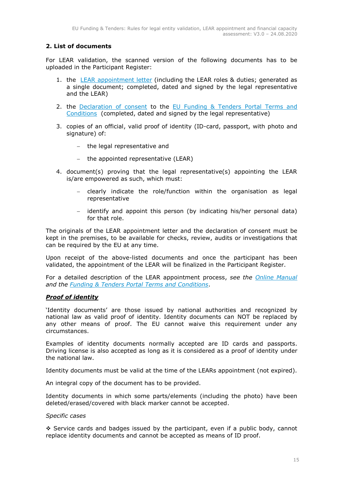# <span id="page-14-0"></span>**2. List of documents**

For LEAR validation, the scanned version of the following documents has to be uploaded in the Participant Register:

- 1. the [LEAR appointment letter](https://ec.europa.eu/research/participants/data/ref/h2020/grants_manual/lev/h2020-lear-applet-roltas_en.pdf) (including the LEAR roles & duties; generated as a single document; completed, dated and signed by the legal representative and the LEAR)
- 2. the [Declaration of consent](https://ec.europa.eu/research/participants/data/ref/h2020/grants_manual/lev/h2020-lev-declaration-consent_en.pdf) to the [EU Funding & Tenders Portal Terms and](https://ec.europa.eu/info/funding-tenders/opportunities/portal/screen/support/legalnotice) [Conditions](https://ec.europa.eu/info/funding-tenders/opportunities/portal/screen/support/legalnotice) (completed, dated and signed by the legal representative)
- 3. copies of an official, valid proof of identity (ID-card, passport, with photo and signature) of:
	- the legal representative and
	- the appointed representative (LEAR)
- 4. document(s) proving that the legal representative(s) appointing the LEAR is/are empowered as such, which must:
	- clearly indicate the role/function within the organisation as legal representative
	- identify and appoint this person (by indicating his/her personal data) for that role.

The originals of the LEAR appointment letter and the declaration of consent must be kept in the premises, to be available for checks, review, audits or investigations that can be required by the EU at any time.

Upon receipt of the above-listed documents and once the participant has been validated, the appointment of the LEAR will be finalized in the Participant Register.

For a detailed description of the LEAR appointment process, *see the [Online Manual](https://ec.europa.eu/research/participants/docs/h2020-funding-guide/index_en.htm) and the [Funding & Tenders Portal Terms](https://ec.europa.eu/info/funding-tenders/opportunities/portal/screen/support/legalnotice) and Conditions*.

# *Proof of identity*

'Identity documents' are those issued by national authorities and recognized by national law as valid proof of identity. Identity documents can NOT be replaced by any other means of proof. The EU cannot waive this requirement under any circumstances.

Examples of identity documents normally accepted are ID cards and passports. Driving license is also accepted as long as it is considered as a proof of identity under the national law.

Identity documents must be valid at the time of the LEARs appointment (not expired).

An integral copy of the document has to be provided.

Identity documents in which some parts/elements (including the photo) have been deleted/erased/covered with black marker cannot be accepted.

## *Specific cases*

 $\div$  Service cards and badges issued by the participant, even if a public body, cannot replace identity documents and cannot be accepted as means of ID proof.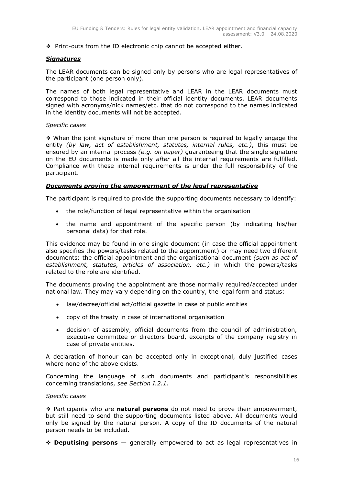$\cdot \cdot$  Print-outs from the ID electronic chip cannot be accepted either.

## *Signatures*

The LEAR documents can be signed only by persons who are legal representatives of the participant (one person only).

The names of both legal representative and LEAR in the LEAR documents must correspond to those indicated in their official identity documents. LEAR documents signed with acronyms/nick names/etc. that do not correspond to the names indicated in the identity documents will not be accepted.

## *Specific cases*

 When the joint signature of more than one person is required to legally engage the entity *(by law, act of establishment, statutes, internal rules, etc.)*, this must be ensured by an internal process *(e.g. on paper)* guaranteeing that the single signature on the EU documents is made only *after* all the internal requirements are fulfilled. Compliance with these internal requirements is under the full responsibility of the participant.

## *Documents proving the empowerment of the legal representative*

The participant is required to provide the supporting documents necessary to identify:

- the role/function of legal representative within the organisation
- the name and appointment of the specific person (by indicating his/her personal data) for that role.

This evidence may be found in one single document (in case the official appointment also specifies the powers/tasks related to the appointment) or may need two different documents: the official appointment and the organisational document *(such as act of establishment, statutes, articles of association, etc.)* in which the powers/tasks related to the role are identified.

The documents proving the appointment are those normally required/accepted under national law. They may vary depending on the country, the legal form and status:

- law/decree/official act/official gazette in case of public entities
- copy of the treaty in case of international organisation
- decision of assembly, official documents from the council of administration, executive committee or directors board, excerpts of the company registry in case of private entities.

A declaration of honour can be accepted only in exceptional, duly justified cases where none of the above exists.

Concerning the language of such documents and participant's responsibilities concerning translations, *see Section I.2.1*.

## *Specific cases*

 Participants who are **natural persons** do not need to prove their empowerment, but still need to send the supporting documents listed above. All documents would only be signed by the natural person. A copy of the ID documents of the natural person needs to be included.

**Deputising persons** — generally empowered to act as legal representatives in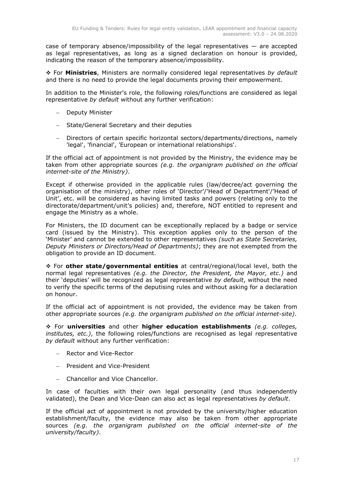case of temporary absence/impossibility of the legal representatives — are accepted as legal representatives, as long as a signed declaration on honour is provided, indicating the reason of the temporary absence/impossibility.

 For **Ministries**, Ministers are normally considered legal representatives *by default* and there is no need to provide the legal documents proving their empowerment.

In addition to the Minister's role, the following roles/functions are considered as legal representative *by default* without any further verification:

- Deputy Minister
- State/General Secretary and their deputies
- Directors of certain specific horizontal sectors/departments/directions, namely 'legal', 'financial', 'European or international relationships'.

If the official act of appointment is not provided by the Ministry, the evidence may be taken from other appropriate sources *(e.g. the organigram published on the official internet-site of the Ministry)*.

Except if otherwise provided in the applicable rules (law/decree/act governing the organisation of the ministry), other roles of 'Director'/'Head of Department'/'Head of Unit', etc. will be considered as having limited tasks and powers (relating only to the directorate/department/unit's policies) and, therefore, NOT entitled to represent and engage the Ministry as a whole.

For Ministers, the ID document can be exceptionally replaced by a badge or service card (issued by the Ministry). This exception applies only to the person of the 'Minister' and cannot be extended to other representatives *(such as State Secretaries, Deputy Ministers or Directors/Head of Departments)*; they are not exempted from the obligation to provide an ID document.

 For **other state/governmental entities** at central/regional/local level, both the normal legal representatives *(e.g. the Director, the President, the Mayor, etc.)* and their 'deputies' will be recognized as legal representative *by default*, without the need to verify the specific terms of the deputising rules and without asking for a declaration on honour.

If the official act of appointment is not provided, the evidence may be taken from other appropriate sources *(e.g. the organigram published on the official internet-site)*.

 For **universities** and other **higher education establishments** *(e.g. colleges, institutes, etc.)*, the following roles/functions are recognised as legal representative *by default* without any further verification:

- Rector and Vice-Rector
- President and Vice-President
- Chancellor and Vice Chancellor.

In case of faculties with their own legal personality (and thus independently validated), the Dean and Vice-Dean can also act as legal representatives *by default*.

If the official act of appointment is not provided by the university/higher education establishment/faculty, the evidence may also be taken from other appropriate sources *(e.g. the organigram published on the official internet-site of the university/faculty)*.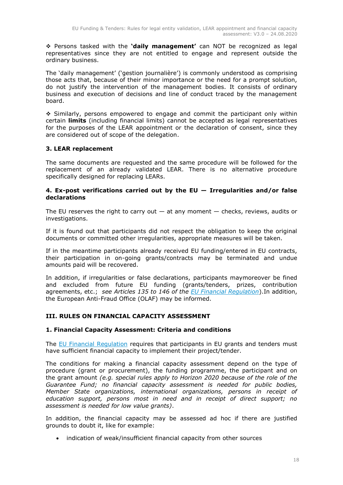Persons tasked with the **'daily management'** can NOT be recognized as legal representatives since they are not entitled to engage and represent outside the ordinary business.

The 'daily management' ('gestion journalière') is commonly understood as comprising those acts that, because of their minor importance or the need for a prompt solution, do not justify the intervention of the management bodies. It consists of ordinary business and execution of decisions and line of conduct traced by the management board.

 $\div$  Similarly, persons empowered to engage and commit the participant only within certain **limits** (including financial limits) cannot be accepted as legal representatives for the purposes of the LEAR appointment or the declaration of consent, since they are considered out of scope of the delegation.

# <span id="page-17-0"></span>**3. LEAR replacement**

The same documents are requested and the same procedure will be followed for the replacement of an already validated LEAR. There is no alternative procedure specifically designed for replacing LEARs.

# <span id="page-17-1"></span>**4. Ex-post verifications carried out by the EU — Irregularities and/or false declarations**

The EU reserves the right to carry out  $-$  at any moment  $-$  checks, reviews, audits or investigations.

If it is found out that participants did not respect the obligation to keep the original documents or committed other irregularities, appropriate measures will be taken.

If in the meantime participants already received EU funding/entered in EU contracts, their participation in on-going grants/contracts may be terminated and undue amounts paid will be recovered.

In addition, if irregularities or false declarations, participants maymoreover be fined and excluded from future EU funding (grants/tenders, prizes, contribution agreements, etc.; *see Articles 135 to 146 of the EU [Financial Regulation](https://eur-lex.europa.eu/legal-content/EN/ALL/?uri=CELEX:32018R1046&qid=1535046024012)*).In addition, the European Anti-Fraud Office (OLAF) may be informed.

# <span id="page-17-2"></span>**III. RULES ON FINANCIAL CAPACITY ASSESSMENT**

# <span id="page-17-3"></span>**1. Financial Capacity Assessment: Criteria and conditions**

The [EU Financial Regulation](https://eur-lex.europa.eu/legal-content/EN/ALL/?uri=CELEX:32018R1046&qid=1535046024012) requires that participants in EU grants and tenders must have sufficient financial capacity to implement their project/tender.

The conditions for making a financial capacity assessment depend on the type of procedure (grant or procurement), the funding programme, the participant and on the grant amount *(e.g. special rules apply to Horizon 2020 because of the role of the Guarantee Fund; no financial capacity assessment is needed for public bodies, Member State organizations, international organizations, persons in receipt of education support, persons most in need and in receipt of direct support; no assessment is needed for low value grants)*.

In addition, the financial capacity may be assessed ad hoc if there are justified grounds to doubt it, like for example:

indication of weak/insufficient financial capacity from other sources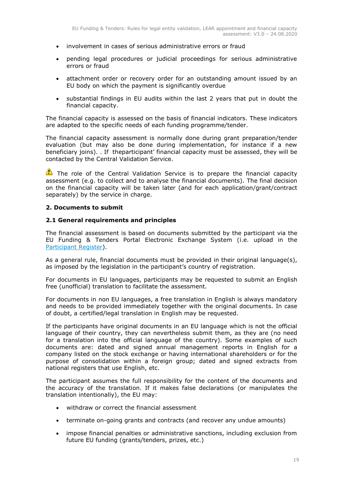- involvement in cases of serious administrative errors or fraud
- pending legal procedures or judicial proceedings for serious administrative errors or fraud
- attachment order or recovery order for an outstanding amount issued by an EU body on which the payment is significantly overdue
- substantial findings in EU audits within the last 2 years that put in doubt the financial capacity.

The financial capacity is assessed on the basis of financial indicators. These indicators are adapted to the specific needs of each funding programme/tender.

The financial capacity assessment is normally done during grant preparation/tender evaluation (but may also be done during implementation, for instance if a new beneficiary joins). . If theparticipant' financial capacity must be assessed, they will be contacted by the Central Validation Service.

The role of the Central Validation Service is to prepare the financial capacity assessment (e.g. to collect and to analyse the financial documents). The final decision on the financial capacity will be taken later (and for each application/grant/contract separately) by the service in charge.

# <span id="page-18-0"></span>**2. Documents to submit**

# <span id="page-18-1"></span>**2.1 General requirements and principles**

The financial assessment is based on documents submitted by the participant via the EU Funding & Tenders Portal Electronic Exchange System (i.e. upload in the [Participant Register\)](https://ec.europa.eu/info/funding-tenders/opportunities/portal/screen/how-to-participate/participant-register).

As a general rule, financial documents must be provided in their original language(s), as imposed by the legislation in the participant's country of registration.

For documents in EU languages, participants may be requested to submit an English free (unofficial) translation to facilitate the assessment.

For documents in non EU languages, a free translation in English is always mandatory and needs to be provided immediately together with the original documents. In case of doubt, a certified/legal translation in English may be requested.

If the participants have original documents in an EU language which is not the official language of their country, they can nevertheless submit them, as they are (no need for a translation into the official language of the country). Some examples of such documents are: dated and signed annual management reports in English for a company listed on the stock exchange or having international shareholders or for the purpose of consolidation within a foreign group; dated and signed extracts from national registers that use English, etc.

The participant assumes the full responsibility for the content of the documents and the accuracy of the translation. If it makes false declarations (or manipulates the translation intentionally), the EU may:

- withdraw or correct the financial assessment
- terminate on-going grants and contracts (and recover any undue amounts)
- impose financial penalties or administrative sanctions, including exclusion from future EU funding (grants/tenders, prizes, etc.)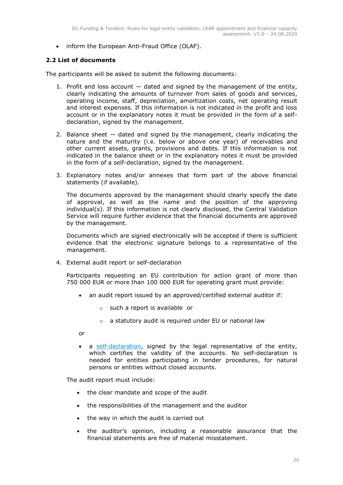• inform the European Anti-Fraud Office (OLAF).

# <span id="page-19-0"></span>**2.2 List of documents**

The participants will be asked to submit the following documents:

- 1. Profit and loss account dated and signed by the management of the entity, clearly indicating the amounts of turnover from sales of goods and services, operating income, staff, depreciation, amortization costs, net operating result and interest expenses. If this information is not indicated in the profit and loss account or in the explanatory notes it must be provided in the form of a selfdeclaration, signed by the management.
- 2. Balance sheet dated and signed by the management, clearly indicating the nature and the maturity (i.e. below or above one year) of receivables and other current assets, grants, provisions and debts. If this information is not indicated in the balance sheet or in the explanatory notes it must be provided in the form of a self-declaration, signed by the management.
- 3. Explanatory notes and/or annexes that form part of the above financial statements (if available).

The documents approved by the management should clearly specify the date of approval, as well as the name and the position of the approving individual(s). If this information is not clearly disclosed, the Central Validation Service will require further evidence that the financial documents are approved by the management.

Documents which are signed electronically will be accepted if there is sufficient evidence that the electronic signature belongs to a representative of the management.

4. External audit report or self-declaration

Participants requesting an EU contribution for action grant of more than 750 000 EUR or more than 100 000 EUR for operating grant must provide:

- an audit report issued by an approved/certified external auditor if:
	- o such a report is available or
	- o a statutory audit is required under EU or national law

or

 a [self-declaration,](https://ec.europa.eu/research/participants/data/ref/h2020/grants_manual/lev/h2020-lev-declaration-validity-accounts_en.pdf) signed by the legal representative of the entity, which certifies the validity of the accounts. No self-declaration is needed for entities participating in tender procedures, for natural persons or entities without closed accounts.

The audit report must include:

- the clear mandate and scope of the audit
- the responsibilities of the management and the auditor
- the way in which the audit is carried out
- the auditor's opinion, including a reasonable assurance that the financial statements are free of material misstatement.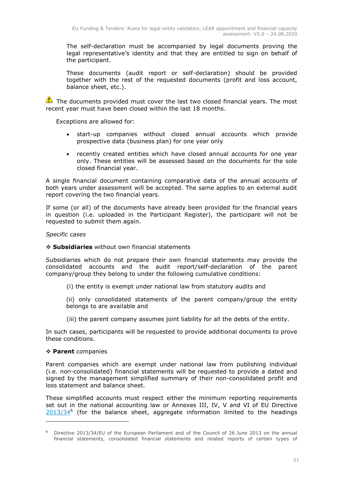The self-declaration must be accompanied by legal documents proving the legal representative's identity and that they are entitled to sign on behalf of the participant.

These documents (audit report or self-declaration) should be provided together with the rest of the requested documents (profit and loss account, balance sheet, etc.).

The documents provided must cover the last two closed financial years. The most recent year must have been closed within the last 18 months.

Exceptions are allowed for:

- start-up companies without closed annual accounts which provide prospective data (business plan) for one year only
- recently created entities which have closed annual accounts for one year only. These entities will be assessed based on the documents for the sole closed financial year.

A single financial document containing comparative data of the annual accounts of both years under assessment will be accepted. The same applies to an external audit report covering the two financial years.

If some (or all) of the documents have already been provided for the financial years in question (i.e. uploaded in the Participant Register), the participant will not be requested to submit them again.

# *Specific cases*

## **Subsidiaries** without own financial statements

Subsidiaries which do not prepare their own financial statements may provide the consolidated accounts and the audit report/self-declaration of the parent company/group they belong to under the following cumulative conditions:

- (i) the entity is exempt under national law from statutory audits and
- (ii) only consolidated statements of the parent company/group the entity belongs to are available and
- (iii) the parent company assumes joint liability for all the debts of the entity.

In such cases, participants will be requested to provide additional documents to prove these conditions.

## **Parent** companies

-

Parent companies which are exempt under national law from publishing individual (i.e. non-consolidated) financial statements will be requested to provide a dated and signed by the management simplified summary of their non-consolidated profit and loss statement and balance sheet.

These simplified accounts must respect either the minimum reporting requirements set out in the national accounting law or Annexes III, IV, V and VI of EU Directive  $2013/34^6$  $2013/34^6$  (for the balance sheet, aggregate information limited to the headings

<sup>6</sup> Directive 2013/34/EU of the European Parliament and of the Council of 26 June 2013 on the annual financial statements, consolidated financial statements and related reports of certain types of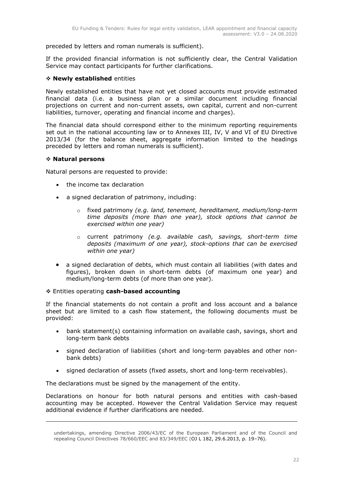preceded by letters and roman numerals is sufficient).

If the provided financial information is not sufficiently clear, the Central Validation Service may contact participants for further clarifications.

# **Newly established** entities

Newly established entities that have not yet closed accounts must provide estimated financial data (i.e. a business plan or a similar document including financial projections on current and non-current assets, own capital, current and non-current liabilities, turnover, operating and financial income and charges).

The financial data should correspond either to the minimum reporting requirements set out in the national accounting law or to Annexes III, IV, V and VI of EU Directive 2013/34 (for the balance sheet, aggregate information limited to the headings preceded by letters and roman numerals is sufficient).

## **Natural persons**

-

Natural persons are requested to provide:

- the income tax declaration
- a signed declaration of patrimony, including:
	- o fixed patrimony *(e.g. land, tenement, hereditament, medium/long-term time deposits (more than one year), stock options that cannot be exercised within one year)*
	- o current patrimony *(e.g. available cash, savings, short-term time deposits (maximum of one year), stock-options that can be exercised within one year)*
- a signed declaration of debts, which must contain all liabilities (with dates and figures), broken down in short-term debts (of maximum one year) and medium/long-term debts (of more than one year).

## Entities operating **cash-based accounting**

If the financial statements do not contain a profit and loss account and a balance sheet but are limited to a cash flow statement, the following documents must be provided:

- bank statement(s) containing information on available cash, savings, short and long-term bank debts
- signed declaration of liabilities (short and long-term payables and other nonbank debts)
- signed declaration of assets (fixed assets, short and long-term receivables).

The declarations must be signed by the management of the entity.

Declarations on honour for both natural persons and entities with cash-based accounting may be accepted. However the Central Validation Service may request additional evidence if further clarifications are needed.

undertakings, amending Directive 2006/43/EC of the European Parliament and of the Council and repealing Council Directives 78/660/EEC and 83/349/EEC (OJ L 182, 29.6.2013, p. 19–76).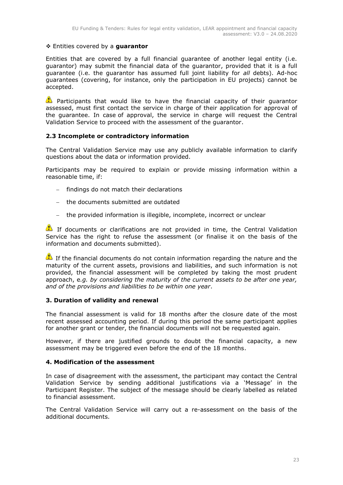## Entities covered by a **guarantor**

Entities that are covered by a full financial guarantee of another legal entity (i.e. guarantor) may submit the financial data of the guarantor, provided that it is a full guarantee (i.e. the guarantor has assumed full joint liability for *all* debts). Ad-hoc guarantees (covering, for instance, only the participation in EU projects) cannot be accepted.

**Participants that would like to have the financial capacity of their guarantor** assessed, must first contact the service in charge of their application for approval of the guarantee. In case of approval, the service in charge will request the Central Validation Service to proceed with the assessment of the guarantor.

# <span id="page-22-0"></span>**2.3 Incomplete or contradictory information**

The Central Validation Service may use any publicly available information to clarify questions about the data or information provided.

Participants may be required to explain or provide missing information within a reasonable time, if:

- $-$  findings do not match their declarations
- the documents submitted are outdated
- the provided information is illegible, incomplete, incorrect or unclear

If documents or clarifications are not provided in time, the Central Validation Service has the right to refuse the assessment (or finalise it on the basis of the information and documents submitted).

If the financial documents do not contain information regarding the nature and the maturity of the current assets, provisions and liabilities, and such information is not provided, the financial assessment will be completed by taking the most prudent approach, e*.g. by considering the maturity of the current assets to be after one year, and of the provisions and liabilities to be within one year*.

## <span id="page-22-1"></span>**3. Duration of validity and renewal**

The financial assessment is valid for 18 months after the closure date of the most recent assessed accounting period. If during this period the same participant applies for another grant or tender, the financial documents will not be requested again.

However, if there are justified grounds to doubt the financial capacity, a new assessment may be triggered even before the end of the 18 months.

## <span id="page-22-2"></span>**4. Modification of the assessment**

In case of disagreement with the assessment, the participant may contact the Central Validation Service by sending additional justifications via a 'Message' in the Participant Register. The subject of the message should be clearly labelled as related to financial assessment.

The Central Validation Service will carry out a re-assessment on the basis of the additional documents.